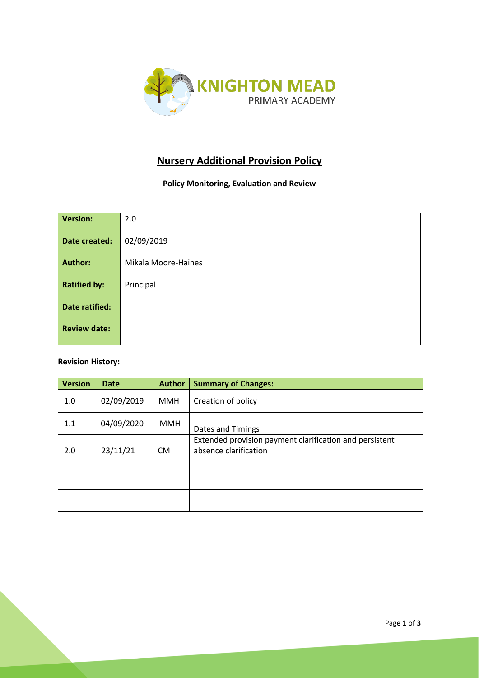

# **Nursery Additional Provision Policy**

**Policy Monitoring, Evaluation and Review**

| <b>Version:</b>             | 2.0                 |  |  |  |
|-----------------------------|---------------------|--|--|--|
|                             |                     |  |  |  |
|                             |                     |  |  |  |
|                             |                     |  |  |  |
| 02/09/2019<br>Date created: |                     |  |  |  |
|                             |                     |  |  |  |
|                             |                     |  |  |  |
|                             |                     |  |  |  |
| <b>Author:</b>              | Mikala Moore-Haines |  |  |  |
|                             |                     |  |  |  |
|                             |                     |  |  |  |
|                             |                     |  |  |  |
| <b>Ratified by:</b>         | Principal           |  |  |  |
|                             |                     |  |  |  |
|                             |                     |  |  |  |
| <b>Date ratified:</b>       |                     |  |  |  |
|                             |                     |  |  |  |
|                             |                     |  |  |  |
|                             |                     |  |  |  |
| <b>Review date:</b>         |                     |  |  |  |
|                             |                     |  |  |  |
|                             |                     |  |  |  |
|                             |                     |  |  |  |

## **Revision History:**

| <b>Version</b> | <b>Date</b> | <b>Author</b> | <b>Summary of Changes:</b>                                                       |
|----------------|-------------|---------------|----------------------------------------------------------------------------------|
| 1.0            | 02/09/2019  | <b>MMH</b>    | Creation of policy                                                               |
| 1.1            | 04/09/2020  | <b>MMH</b>    | Dates and Timings                                                                |
| 2.0            | 23/11/21    | <b>CM</b>     | Extended provision payment clarification and persistent<br>absence clarification |
|                |             |               |                                                                                  |
|                |             |               |                                                                                  |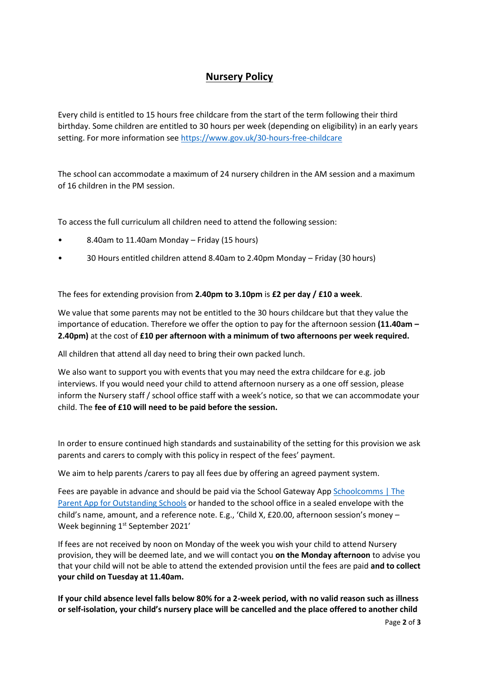## **Nursery Policy**

Every child is entitled to 15 hours free childcare from the start of the term following their third birthday. Some children are entitled to 30 hours per week (depending on eligibility) in an early years setting. For more information see<https://www.gov.uk/30-hours-free-childcare>

The school can accommodate a maximum of 24 nursery children in the AM session and a maximum of 16 children in the PM session.

To access the full curriculum all children need to attend the following session:

- 8.40am to 11.40am Monday Friday (15 hours)
- 30 Hours entitled children attend 8.40am to 2.40pm Monday Friday (30 hours)

The fees for extending provision from **2.40pm to 3.10pm** is **£2 per day / £10 a week**.

We value that some parents may not be entitled to the 30 hours childcare but that they value the importance of education. Therefore we offer the option to pay for the afternoon session **(11.40am – 2.40pm)** at the cost of **£10 per afternoon with a minimum of two afternoons per week required.** 

All children that attend all day need to bring their own packed lunch.

We also want to support you with events that you may need the extra childcare for e.g. job interviews. If you would need your child to attend afternoon nursery as a one off session, please inform the Nursery staff / school office staff with a week's notice, so that we can accommodate your child. The **fee of £10 will need to be paid before the session.**

In order to ensure continued high standards and sustainability of the setting for this provision we ask parents and carers to comply with this policy in respect of the fees' payment.

We aim to help parents /carers to pay all fees due by offering an agreed payment system.

Fees are payable in advance and should be paid via the School Gateway App Schoolcomms | The [Parent App for Outstanding Schools](https://schoolcomms.com/) or handed to the school office in a sealed envelope with the child's name, amount, and a reference note. E.g., 'Child X, £20.00, afternoon session's money – Week beginning 1st September 2021'

If fees are not received by noon on Monday of the week you wish your child to attend Nursery provision, they will be deemed late, and we will contact you **on the Monday afternoon** to advise you that your child will not be able to attend the extended provision until the fees are paid **and to collect your child on Tuesday at 11.40am.**

**If your child absence level falls below 80% for a 2-week period, with no valid reason such as illness or self-isolation, your child's nursery place will be cancelled and the place offered to another child**